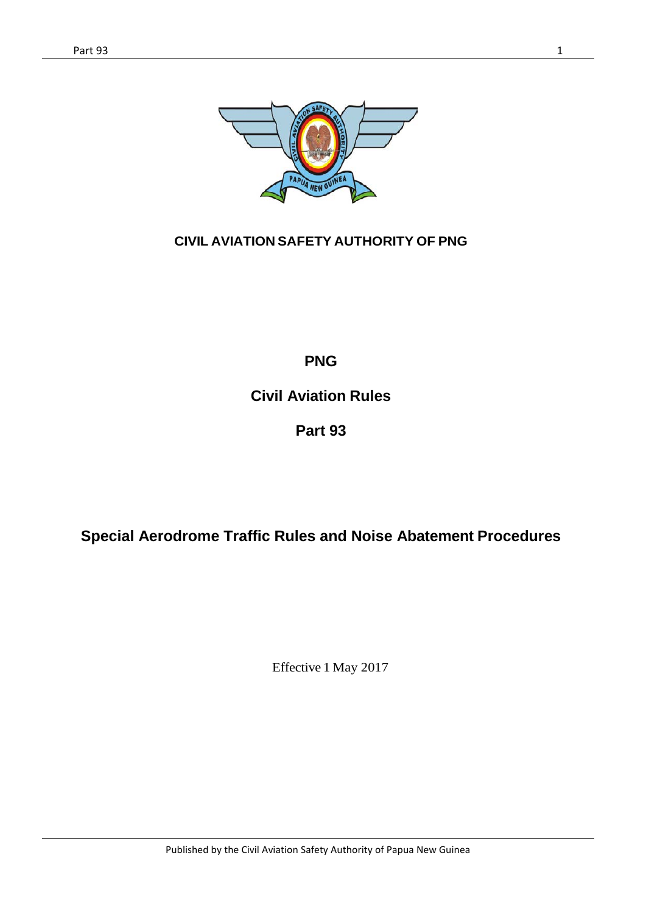

### **CIVIL AVIATION SAFETY AUTHORITY OF PNG**

**PNG**

**Civil Aviation Rules**

**Part 93**

**Special Aerodrome Traffic Rules and Noise Abatement Procedures**

Effective 1 May 2017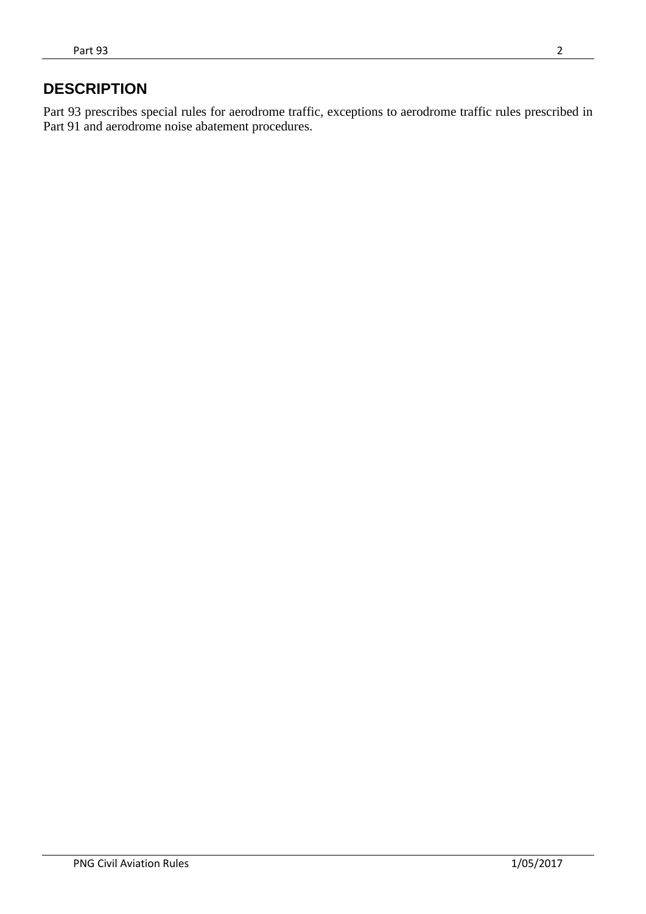## **DESCRIPTION**

Part 93 prescribes special rules for aerodrome traffic, exceptions to aerodrome traffic rules prescribed in Part 91 and aerodrome noise abatement procedures.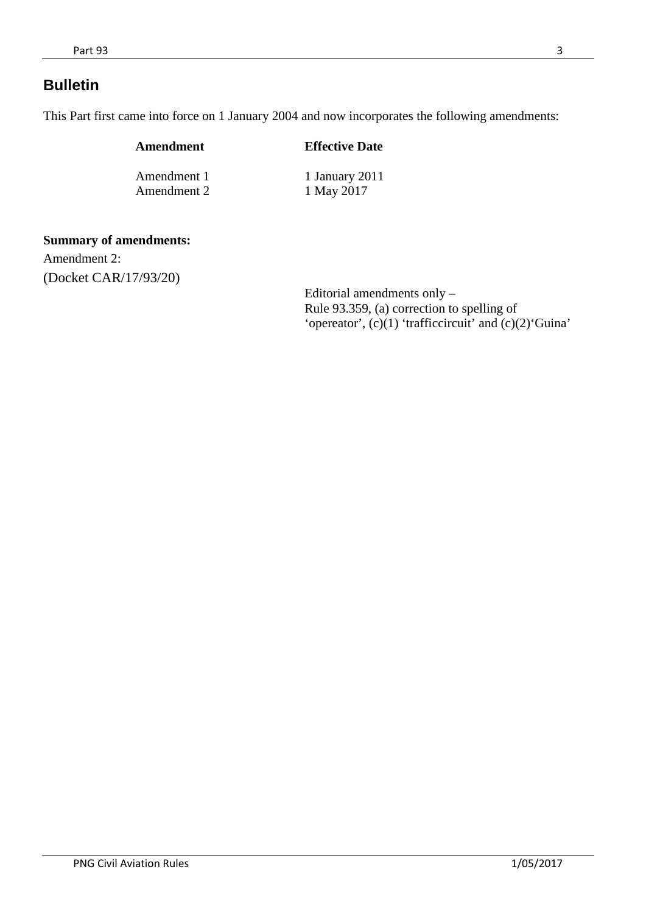## **Bulletin**

This Part first came into force on 1 January 2004 and now incorporates the following amendments:

| Amendment   | <b>Effective Date</b> |
|-------------|-----------------------|
| Amendment 1 | 1 January 2011        |
| Amendment 2 | 1 May 2017            |

#### **Summary of amendments:**

Amendment 2: (Docket CAR/17/93/20)

> Editorial amendments only – Rule 93.359, (a) correction to spelling of 'opereator', (c)(1) 'trafficcircuit' and (c)(2)'Guina'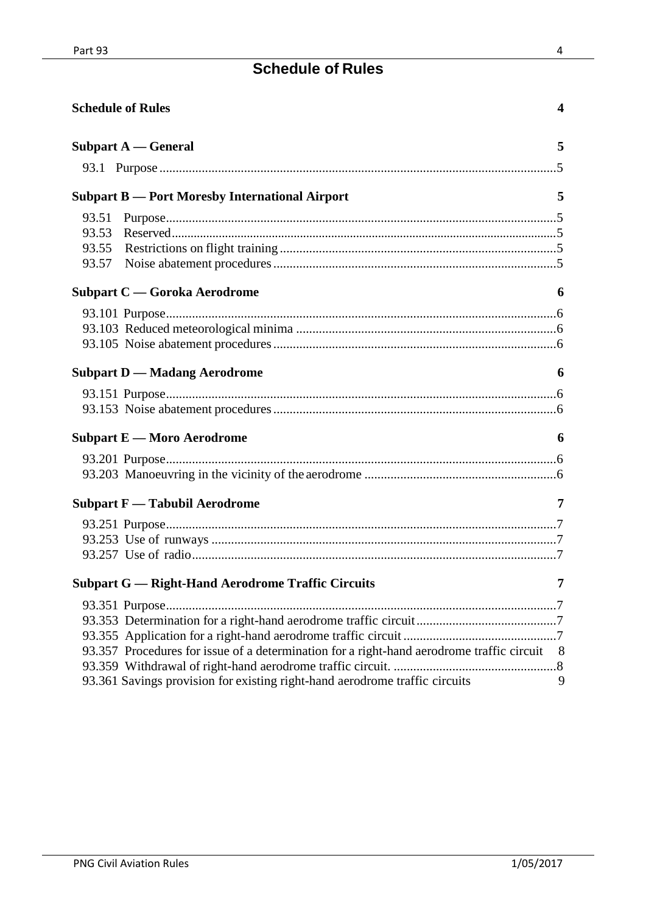# **Schedule of Rules**

|                                  | <b>Schedule of Rules</b>                                                                  | $\overline{\mathbf{4}}$ |
|----------------------------------|-------------------------------------------------------------------------------------------|-------------------------|
|                                  | Subpart $A -$ General                                                                     | 5                       |
|                                  |                                                                                           |                         |
|                                  | <b>Subpart B - Port Moresby International Airport</b>                                     | 5                       |
| 93.51<br>93.53<br>93.55<br>93.57 |                                                                                           |                         |
|                                  | <b>Subpart C</b> — Goroka Aerodrome                                                       | 6                       |
|                                  |                                                                                           |                         |
|                                  | <b>Subpart D — Madang Aerodrome</b>                                                       | 6                       |
|                                  |                                                                                           |                         |
|                                  | <b>Subpart E — Moro Aerodrome</b>                                                         | 6                       |
|                                  |                                                                                           |                         |
|                                  | <b>Subpart F</b> — Tabubil Aerodrome                                                      | 7                       |
|                                  |                                                                                           |                         |
|                                  | <b>Subpart G — Right-Hand Aerodrome Traffic Circuits</b> 7                                |                         |
|                                  | 93.357 Procedures for issue of a determination for a right-hand aerodrome traffic circuit | 8 <sup>8</sup>          |
|                                  | 93.361 Savings provision for existing right-hand aerodrome traffic circuits               | 9                       |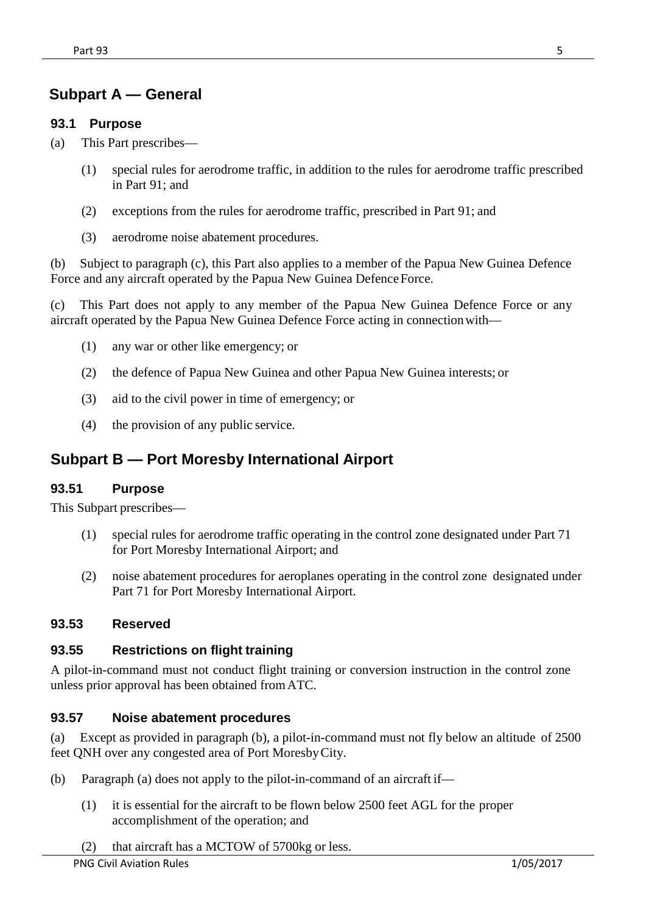# <span id="page-4-0"></span>**Subpart A — General**

#### <span id="page-4-1"></span>**93.1 Purpose**

- (a) This Part prescribes—
	- (1) special rules for aerodrome traffic, in addition to the rules for aerodrome traffic prescribed in Part 91; and
	- (2) exceptions from the rules for aerodrome traffic, prescribed in Part 91; and
	- (3) aerodrome noise abatement procedures.

(b) Subject to paragraph (c), this Part also applies to a member of the Papua New Guinea Defence Force and any aircraft operated by the Papua New Guinea Defence Force.

(c) This Part does not apply to any member of the Papua New Guinea Defence Force or any aircraft operated by the Papua New Guinea Defence Force acting in connectionwith—

- (1) any war or other like emergency; or
- (2) the defence of Papua New Guinea and other Papua New Guinea interests; or
- (3) aid to the civil power in time of emergency; or
- (4) the provision of any public service.

## <span id="page-4-2"></span>**Subpart B — Port Moresby International Airport**

#### <span id="page-4-3"></span>**93.51 Purpose**

This Subpart prescribes—

- (1) special rules for aerodrome traffic operating in the control zone designated under Part 71 for Port Moresby International Airport; and
- (2) noise abatement procedures for aeroplanes operating in the control zone designated under Part 71 for Port Moresby International Airport.

#### <span id="page-4-4"></span>**93.53 Reserved**

#### <span id="page-4-5"></span>**93.55 Restrictions on flight training**

A pilot-in-command must not conduct flight training or conversion instruction in the control zone unless prior approval has been obtained fromATC.

#### <span id="page-4-6"></span>**93.57 Noise abatement procedures**

(a) Except as provided in paragraph (b), a pilot-in-command must not fly below an altitude of 2500 feet QNH over any congested area of Port MoresbyCity.

- (b) Paragraph (a) does not apply to the pilot-in-command of an aircraft if—
	- (1) it is essential for the aircraft to be flown below 2500 feet AGL for the proper accomplishment of the operation; and
	- (2) that aircraft has a MCTOW of 5700kg or less.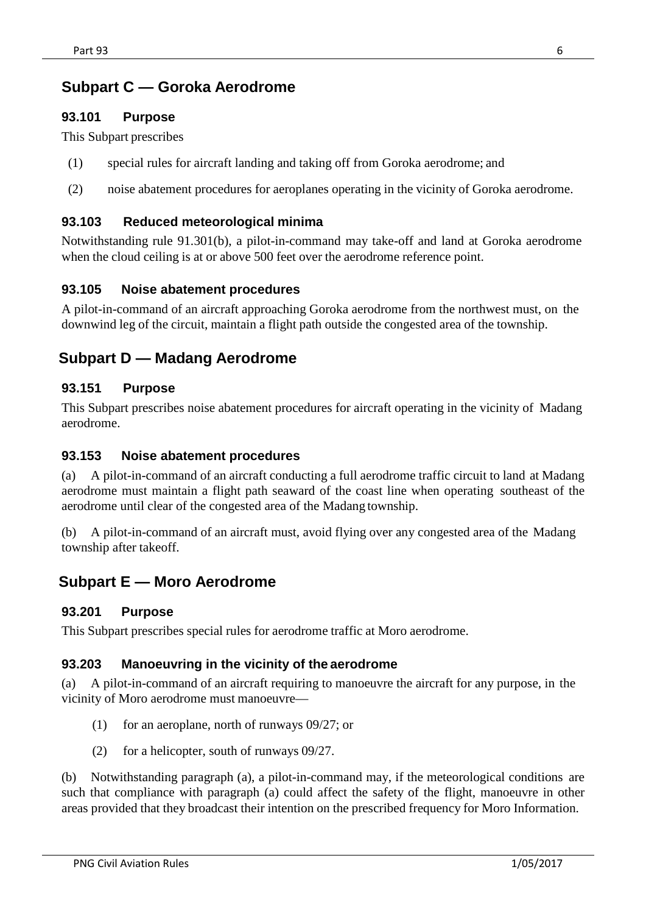## <span id="page-5-0"></span>**Subpart C — Goroka Aerodrome**

### <span id="page-5-1"></span>**93.101 Purpose**

This Subpart prescribes

- (1) special rules for aircraft landing and taking off from Goroka aerodrome; and
- (2) noise abatement procedures for aeroplanes operating in the vicinity of Goroka aerodrome.

#### <span id="page-5-2"></span>**93.103 Reduced meteorological minima**

Notwithstanding rule 91.301(b), a pilot-in-command may take-off and land at Goroka aerodrome when the cloud ceiling is at or above 500 feet over the aerodrome reference point.

#### <span id="page-5-3"></span>**93.105 Noise abatement procedures**

A pilot-in-command of an aircraft approaching Goroka aerodrome from the northwest must, on the downwind leg of the circuit, maintain a flight path outside the congested area of the township.

## <span id="page-5-5"></span><span id="page-5-4"></span>**Subpart D — Madang Aerodrome**

#### **93.151 Purpose**

This Subpart prescribes noise abatement procedures for aircraft operating in the vicinity of Madang aerodrome.

#### <span id="page-5-6"></span>**93.153 Noise abatement procedures**

(a) A pilot-in-command of an aircraft conducting a full aerodrome traffic circuit to land at Madang aerodrome must maintain a flight path seaward of the coast line when operating southeast of the aerodrome until clear of the congested area of the Madang township.

(b) A pilot-in-command of an aircraft must, avoid flying over any congested area of the Madang township after takeoff.

## <span id="page-5-8"></span><span id="page-5-7"></span>**Subpart E — Moro Aerodrome**

#### **93.201 Purpose**

This Subpart prescribes special rules for aerodrome traffic at Moro aerodrome.

#### <span id="page-5-9"></span>**93.203 Manoeuvring in the vicinity of the aerodrome**

(a) A pilot-in-command of an aircraft requiring to manoeuvre the aircraft for any purpose, in the vicinity of Moro aerodrome must manoeuvre—

- (1) for an aeroplane, north of runways 09/27; or
- (2) for a helicopter, south of runways 09/27.

(b) Notwithstanding paragraph (a), a pilot-in-command may, if the meteorological conditions are such that compliance with paragraph (a) could affect the safety of the flight, manoeuvre in other areas provided that they broadcast their intention on the prescribed frequency for Moro Information.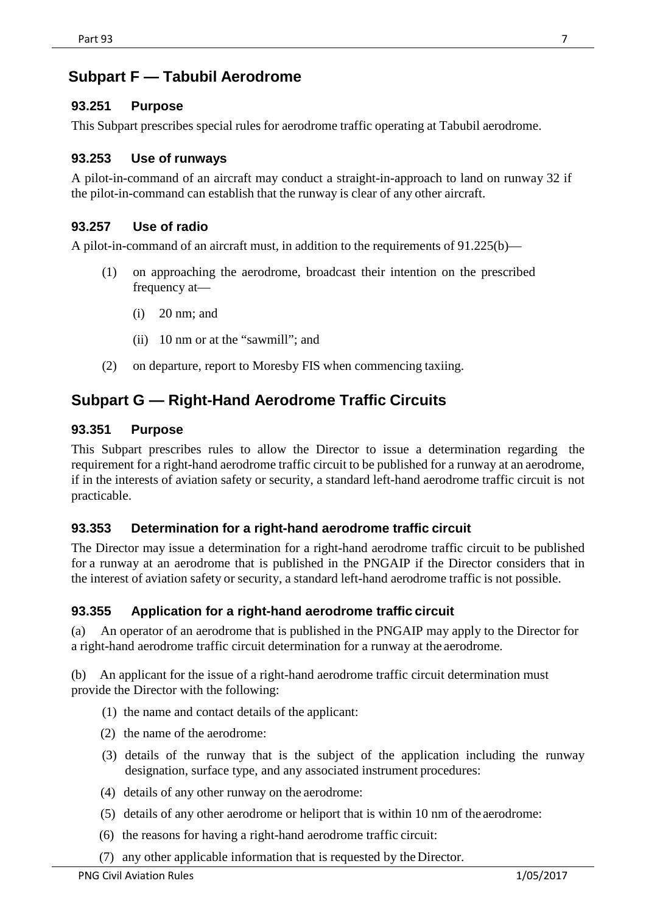## <span id="page-6-0"></span>**Subpart F — Tabubil Aerodrome**

### <span id="page-6-1"></span>**93.251 Purpose**

This Subpart prescribes special rules for aerodrome traffic operating at Tabubil aerodrome.

### <span id="page-6-2"></span>**93.253 Use of runways**

A pilot-in-command of an aircraft may conduct a straight-in-approach to land on runway 32 if the pilot-in-command can establish that the runway is clear of any other aircraft.

### <span id="page-6-3"></span>**93.257 Use of radio**

A pilot-in-command of an aircraft must, in addition to the requirements of 91.225(b)—

- (1) on approaching the aerodrome, broadcast their intention on the prescribed frequency at—
	- (i) 20 nm; and
	- (ii) 10 nm or at the "sawmill"; and
- (2) on departure, report to Moresby FIS when commencing taxiing.

## <span id="page-6-4"></span>**Subpart G — Right-Hand Aerodrome Traffic Circuits**

### <span id="page-6-5"></span>**93.351 Purpose**

This Subpart prescribes rules to allow the Director to issue a determination regarding the requirement for a right-hand aerodrome traffic circuit to be published for a runway at an aerodrome, if in the interests of aviation safety or security, a standard left-hand aerodrome traffic circuit is not practicable.

### <span id="page-6-6"></span>**93.353 Determination for a right-hand aerodrome traffic circuit**

The Director may issue a determination for a right-hand aerodrome traffic circuit to be published for a runway at an aerodrome that is published in the PNGAIP if the Director considers that in the interest of aviation safety or security, a standard left-hand aerodrome traffic is not possible.

### <span id="page-6-7"></span>**93.355 Application for a right-hand aerodrome traffic circuit**

(a) An operator of an aerodrome that is published in the PNGAIP may apply to the Director for a right-hand aerodrome traffic circuit determination for a runway at the aerodrome.

(b) An applicant for the issue of a right-hand aerodrome traffic circuit determination must provide the Director with the following:

- (1) the name and contact details of the applicant:
- (2) the name of the aerodrome:
- (3) details of the runway that is the subject of the application including the runway designation, surface type, and any associated instrument procedures:
- (4) details of any other runway on the aerodrome:
- (5) details of any other aerodrome or heliport that is within 10 nm of the aerodrome:
- (6) the reasons for having a right-hand aerodrome traffic circuit:
- (7) any other applicable information that is requested by the Director.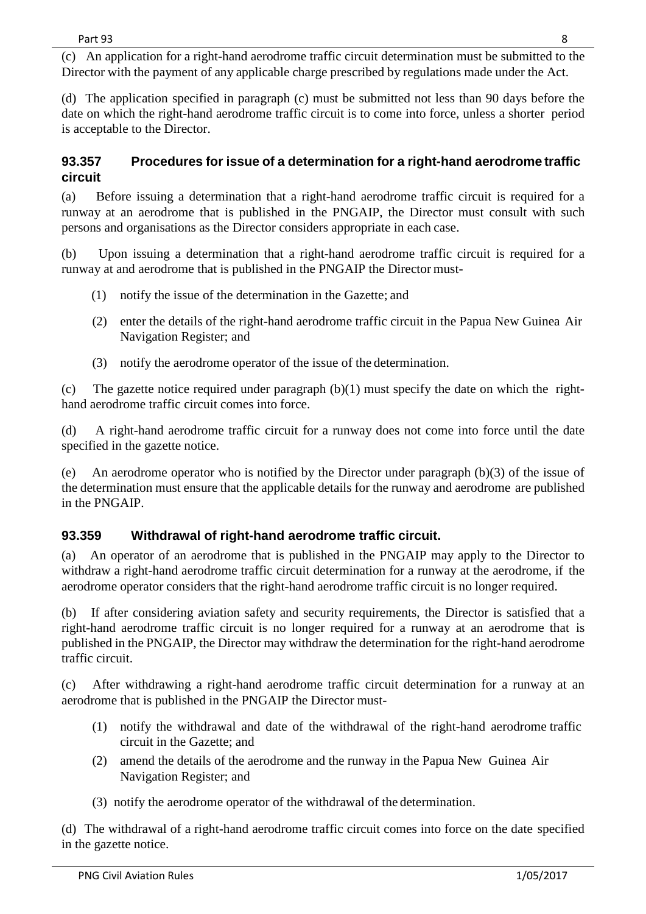(c) An application for a right-hand aerodrome traffic circuit determination must be submitted to the Director with the payment of any applicable charge prescribed by regulations made under the Act.

(d) The application specified in paragraph (c) must be submitted not less than 90 days before the date on which the right-hand aerodrome traffic circuit is to come into force, unless a shorter period is acceptable to the Director.

## <span id="page-7-0"></span>**93.357 Procedures for issue of a determination for a right-hand aerodrome traffic circuit**

(a) Before issuing a determination that a right-hand aerodrome traffic circuit is required for a runway at an aerodrome that is published in the PNGAIP, the Director must consult with such persons and organisations as the Director considers appropriate in each case.

(b) Upon issuing a determination that a right-hand aerodrome traffic circuit is required for a runway at and aerodrome that is published in the PNGAIP the Director must-

- (1) notify the issue of the determination in the Gazette; and
- (2) enter the details of the right-hand aerodrome traffic circuit in the Papua New Guinea Air Navigation Register; and
- (3) notify the aerodrome operator of the issue of the determination.

(c) The gazette notice required under paragraph (b)(1) must specify the date on which the righthand aerodrome traffic circuit comes into force.

(d) A right-hand aerodrome traffic circuit for a runway does not come into force until the date specified in the gazette notice.

(e) An aerodrome operator who is notified by the Director under paragraph (b)(3) of the issue of the determination must ensure that the applicable details for the runway and aerodrome are published in the PNGAIP.

## <span id="page-7-1"></span>**93.359 Withdrawal of right-hand aerodrome traffic circuit.**

(a) An operator of an aerodrome that is published in the PNGAIP may apply to the Director to withdraw a right-hand aerodrome traffic circuit determination for a runway at the aerodrome, if the aerodrome operator considers that the right-hand aerodrome traffic circuit is no longer required.

(b) If after considering aviation safety and security requirements, the Director is satisfied that a right-hand aerodrome traffic circuit is no longer required for a runway at an aerodrome that is published in the PNGAIP, the Director may withdraw the determination for the right-hand aerodrome traffic circuit.

(c) After withdrawing a right-hand aerodrome traffic circuit determination for a runway at an aerodrome that is published in the PNGAIP the Director must-

- (1) notify the withdrawal and date of the withdrawal of the right-hand aerodrome traffic circuit in the Gazette; and
- (2) amend the details of the aerodrome and the runway in the Papua New Guinea Air Navigation Register; and
- (3) notify the aerodrome operator of the withdrawal of the determination.

(d) The withdrawal of a right-hand aerodrome traffic circuit comes into force on the date specified in the gazette notice.